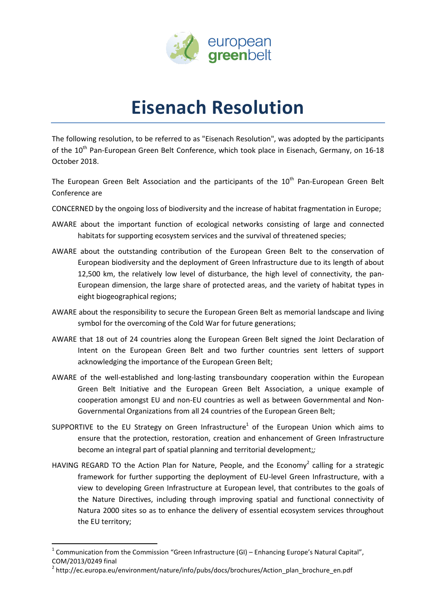

## **Eisenach Resolution**

The following resolution, to be referred to as "Eisenach Resolution", was adopted by the participants of the 10<sup>th</sup> Pan-European Green Belt Conference, which took place in Eisenach, Germany, on 16-18 October 2018.

The European Green Belt Association and the participants of the 10<sup>th</sup> Pan-European Green Belt Conference are

- CONCERNED by the ongoing loss of biodiversity and the increase of habitat fragmentation in Europe;
- AWARE about the important function of ecological networks consisting of large and connected habitats for supporting ecosystem services and the survival of threatened species;
- AWARE about the outstanding contribution of the European Green Belt to the conservation of European biodiversity and the deployment of Green Infrastructure due to its length of about 12,500 km, the relatively low level of disturbance, the high level of connectivity, the pan-European dimension, the large share of protected areas, and the variety of habitat types in eight biogeographical regions;
- AWARE about the responsibility to secure the European Green Belt as memorial landscape and living symbol for the overcoming of the Cold War for future generations;
- AWARE that 18 out of 24 countries along the European Green Belt signed the Joint Declaration of Intent on the European Green Belt and two further countries sent letters of support acknowledging the importance of the European Green Belt;
- AWARE of the well-established and long-lasting transboundary cooperation within the European Green Belt Initiative and the European Green Belt Association, a unique example of cooperation amongst EU and non-EU countries as well as between Governmental and Non-Governmental Organizations from all 24 countries of the European Green Belt;
- SUPPORTIVE to the EU Strategy on Green Infrastructure<sup>1</sup> of the European Union which aims to ensure that the protection, restoration, creation and enhancement of Green Infrastructure become an integral part of spatial planning and territorial development;*;*
- HAVING REGARD TO the Action Plan for Nature, People, and the Economy<sup>2</sup> calling for a strategic framework for further supporting the deployment of EU-level Green Infrastructure, with a view to developing Green Infrastructure at European level, that contributes to the goals of the Nature Directives, including through improving spatial and functional connectivity of Natura 2000 sites so as to enhance the delivery of essential ecosystem services throughout the EU territory;

 $\overline{a}$ 

<sup>&</sup>lt;sup>1</sup> Communication from the Commission "Green Infrastructure (GI) – Enhancing Europe's Natural Capital", COM/2013/0249 final

<sup>&</sup>lt;sup>2</sup> http://ec.europa.eu/environment/nature/info/pubs/docs/brochures/Action\_plan\_brochure\_en.pdf